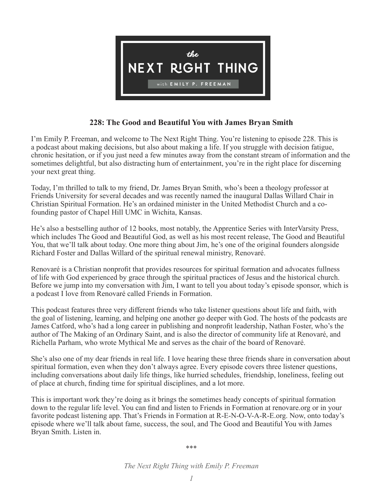

# **228: The Good and Beautiful You with James Bryan Smith**

I'm Emily P. Freeman, and welcome to The Next Right Thing. You're listening to episode 228. This is a podcast about making decisions, but also about making a life. If you struggle with decision fatigue, chronic hesitation, or if you just need a few minutes away from the constant stream of information and the sometimes delightful, but also distracting hum of entertainment, you're in the right place for discerning your next great thing.

Today, I'm thrilled to talk to my friend, Dr. James Bryan Smith, who's been a theology professor at Friends University for several decades and was recently named the inaugural Dallas Willard Chair in Christian Spiritual Formation. He's an ordained minister in the United Methodist Church and a cofounding pastor of Chapel Hill UMC in Wichita, Kansas.

He's also a bestselling author of 12 books, most notably, the Apprentice Series with InterVarsity Press, which includes The Good and Beautiful God, as well as his most recent release, The Good and Beautiful You, that we'll talk about today. One more thing about Jim, he's one of the original founders alongside Richard Foster and Dallas Willard of the spiritual renewal ministry, Renovaré.

Renovaré is a Christian nonprofit that provides resources for spiritual formation and advocates fullness of life with God experienced by grace through the spiritual practices of Jesus and the historical church. Before we jump into my conversation with Jim, I want to tell you about today's episode sponsor, which is a podcast I love from Renovaré called Friends in Formation.

This podcast features three very different friends who take listener questions about life and faith, with the goal of listening, learning, and helping one another go deeper with God. The hosts of the podcasts are James Catford, who's had a long career in publishing and nonprofit leadership, Nathan Foster, who's the author of The Making of an Ordinary Saint, and is also the director of community life at Renovaré, and Richella Parham, who wrote Mythical Me and serves as the chair of the board of Renovaré.

She's also one of my dear friends in real life. I love hearing these three friends share in conversation about spiritual formation, even when they don't always agree. Every episode covers three listener questions, including conversations about daily life things, like hurried schedules, friendship, loneliness, feeling out of place at church, finding time for spiritual disciplines, and a lot more.

This is important work they're doing as it brings the sometimes heady concepts of spiritual formation down to the regular life level. You can find and listen to Friends in Formation at renovare.org or in your favorite podcast listening app. That's Friends in Formation at R-E-N-O-V-A-R-E.org. Now, onto today's episode where we'll talk about fame, success, the soul, and The Good and Beautiful You with James Bryan Smith. Listen in.

\*\*\*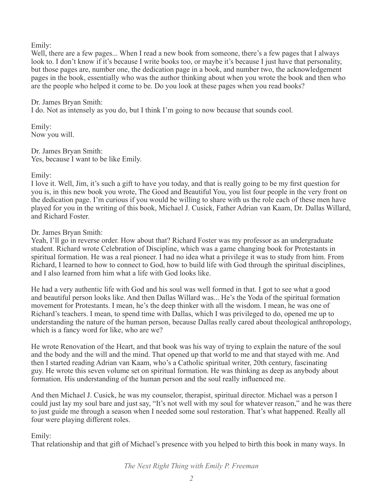Emily:

Well, there are a few pages... When I read a new book from someone, there's a few pages that I always look to. I don't know if it's because I write books too, or maybe it's because I just have that personality, but those pages are, number one, the dedication page in a book, and number two, the acknowledgement pages in the book, essentially who was the author thinking about when you wrote the book and then who are the people who helped it come to be. Do you look at these pages when you read books?

### Dr. James Bryan Smith:

I do. Not as intensely as you do, but I think I'm going to now because that sounds cool.

Emily: Now you will.

Dr. James Bryan Smith: Yes, because I want to be like Emily.

### Emily:

I love it. Well, Jim, it's such a gift to have you today, and that is really going to be my first question for you is, in this new book you wrote, The Good and Beautiful You, you list four people in the very front on the dedication page. I'm curious if you would be willing to share with us the role each of these men have played for you in the writing of this book, Michael J. Cusick, Father Adrian van Kaam, Dr. Dallas Willard, and Richard Foster.

### Dr. James Bryan Smith:

Yeah, I'll go in reverse order. How about that? Richard Foster was my professor as an undergraduate student. Richard wrote Celebration of Discipline, which was a game changing book for Protestants in spiritual formation. He was a real pioneer. I had no idea what a privilege it was to study from him. From Richard, I learned to how to connect to God, how to build life with God through the spiritual disciplines, and I also learned from him what a life with God looks like.

He had a very authentic life with God and his soul was well formed in that. I got to see what a good and beautiful person looks like. And then Dallas Willard was... He's the Yoda of the spiritual formation movement for Protestants. I mean, he's the deep thinker with all the wisdom. I mean, he was one of Richard's teachers. I mean, to spend time with Dallas, which I was privileged to do, opened me up to understanding the nature of the human person, because Dallas really cared about theological anthropology, which is a fancy word for like, who are we?

He wrote Renovation of the Heart, and that book was his way of trying to explain the nature of the soul and the body and the will and the mind. That opened up that world to me and that stayed with me. And then I started reading Adrian van Kaam, who's a Catholic spiritual writer, 20th century, fascinating guy. He wrote this seven volume set on spiritual formation. He was thinking as deep as anybody about formation. His understanding of the human person and the soul really influenced me.

And then Michael J. Cusick, he was my counselor, therapist, spiritual director. Michael was a person I could just lay my soul bare and just say, "It's not well with my soul for whatever reason," and he was there to just guide me through a season when I needed some soul restoration. That's what happened. Really all four were playing different roles.

## Emily:

That relationship and that gift of Michael's presence with you helped to birth this book in many ways. In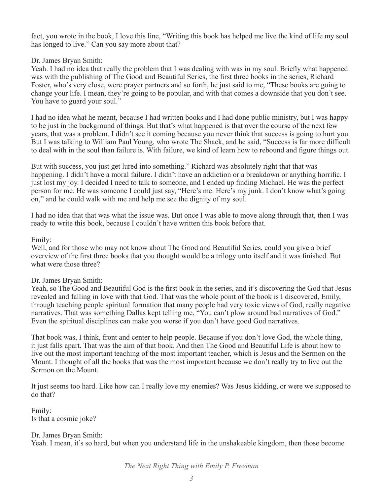fact, you wrote in the book, I love this line, "Writing this book has helped me live the kind of life my soul has longed to live." Can you say more about that?

## Dr. James Bryan Smith:

Yeah. I had no idea that really the problem that I was dealing with was in my soul. Briefly what happened was with the publishing of The Good and Beautiful Series, the first three books in the series, Richard Foster, who's very close, were prayer partners and so forth, he just said to me, "These books are going to change your life. I mean, they're going to be popular, and with that comes a downside that you don't see. You have to guard your soul."

I had no idea what he meant, because I had written books and I had done public ministry, but I was happy to be just in the background of things. But that's what happened is that over the course of the next few years, that was a problem. I didn't see it coming because you never think that success is going to hurt you. But I was talking to William Paul Young, who wrote The Shack, and he said, "Success is far more difficult to deal with in the soul than failure is. With failure, we kind of learn how to rebound and figure things out.

But with success, you just get lured into something." Richard was absolutely right that that was happening. I didn't have a moral failure. I didn't have an addiction or a breakdown or anything horrific. I just lost my joy. I decided I need to talk to someone, and I ended up finding Michael. He was the perfect person for me. He was someone I could just say, "Here's me. Here's my junk. I don't know what's going on," and he could walk with me and help me see the dignity of my soul.

I had no idea that that was what the issue was. But once I was able to move along through that, then I was ready to write this book, because I couldn't have written this book before that.

### Emily:

Well, and for those who may not know about The Good and Beautiful Series, could you give a brief overview of the first three books that you thought would be a trilogy unto itself and it was finished. But what were those three?

### Dr. James Bryan Smith:

Yeah, so The Good and Beautiful God is the first book in the series, and it's discovering the God that Jesus revealed and falling in love with that God. That was the whole point of the book is I discovered, Emily, through teaching people spiritual formation that many people had very toxic views of God, really negative narratives. That was something Dallas kept telling me, "You can't plow around bad narratives of God." Even the spiritual disciplines can make you worse if you don't have good God narratives.

That book was, I think, front and center to help people. Because if you don't love God, the whole thing, it just falls apart. That was the aim of that book. And then The Good and Beautiful Life is about how to live out the most important teaching of the most important teacher, which is Jesus and the Sermon on the Mount. I thought of all the books that was the most important because we don't really try to live out the Sermon on the Mount.

It just seems too hard. Like how can I really love my enemies? Was Jesus kidding, or were we supposed to do that?

Emily: Is that a cosmic joke?

### Dr. James Bryan Smith:

Yeah. I mean, it's so hard, but when you understand life in the unshakeable kingdom, then those become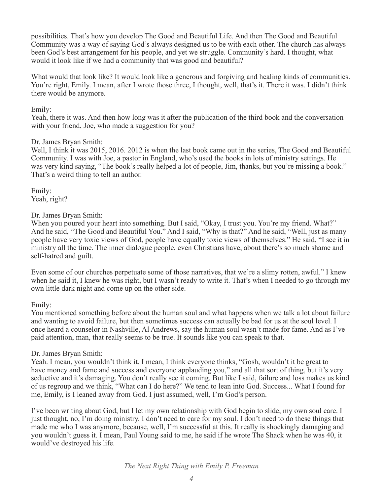possibilities. That's how you develop The Good and Beautiful Life. And then The Good and Beautiful Community was a way of saying God's always designed us to be with each other. The church has always been God's best arrangement for his people, and yet we struggle. Community's hard. I thought, what would it look like if we had a community that was good and beautiful?

What would that look like? It would look like a generous and forgiving and healing kinds of communities. You're right, Emily. I mean, after I wrote those three, I thought, well, that's it. There it was. I didn't think there would be anymore.

### Emily:

Yeah, there it was. And then how long was it after the publication of the third book and the conversation with your friend, Joe, who made a suggestion for you?

#### Dr. James Bryan Smith:

Well, I think it was 2015, 2016. 2012 is when the last book came out in the series, The Good and Beautiful Community. I was with Joe, a pastor in England, who's used the books in lots of ministry settings. He was very kind saying, "The book's really helped a lot of people, Jim, thanks, but you're missing a book." That's a weird thing to tell an author.

Emily: Yeah, right?

### Dr. James Bryan Smith:

When you poured your heart into something. But I said, "Okay, I trust you. You're my friend. What?" And he said, "The Good and Beautiful You." And I said, "Why is that?" And he said, "Well, just as many people have very toxic views of God, people have equally toxic views of themselves." He said, "I see it in ministry all the time. The inner dialogue people, even Christians have, about there's so much shame and self-hatred and guilt.

Even some of our churches perpetuate some of those narratives, that we're a slimy rotten, awful." I knew when he said it, I knew he was right, but I wasn't ready to write it. That's when I needed to go through my own little dark night and come up on the other side.

### Emily:

You mentioned something before about the human soul and what happens when we talk a lot about failure and wanting to avoid failure, but then sometimes success can actually be bad for us at the soul level. I once heard a counselor in Nashville, Al Andrews, say the human soul wasn't made for fame. And as I've paid attention, man, that really seems to be true. It sounds like you can speak to that.

#### Dr. James Bryan Smith:

Yeah. I mean, you wouldn't think it. I mean, I think everyone thinks, "Gosh, wouldn't it be great to have money and fame and success and everyone applauding you," and all that sort of thing, but it's very seductive and it's damaging. You don't really see it coming. But like I said, failure and loss makes us kind of us regroup and we think, "What can I do here?" We tend to lean into God. Success... What I found for me, Emily, is I leaned away from God. I just assumed, well, I'm God's person.

I've been writing about God, but I let my own relationship with God begin to slide, my own soul care. I just thought, no, I'm doing ministry. I don't need to care for my soul. I don't need to do these things that made me who I was anymore, because, well, I'm successful at this. It really is shockingly damaging and you wouldn't guess it. I mean, Paul Young said to me, he said if he wrote The Shack when he was 40, it would've destroyed his life.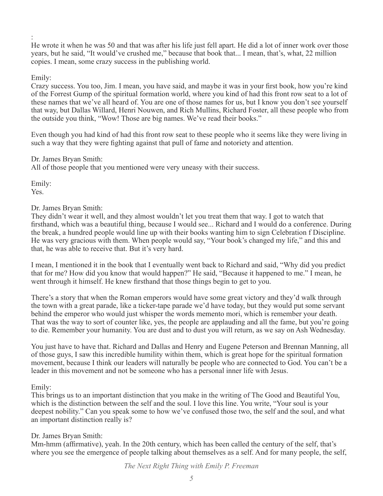: He wrote it when he was 50 and that was after his life just fell apart. He did a lot of inner work over those years, but he said, "It would've crushed me," because that book that... I mean, that's, what, 22 million copies. I mean, some crazy success in the publishing world.

## Emily:

Crazy success. You too, Jim. I mean, you have said, and maybe it was in your first book, how you're kind of the Forrest Gump of the spiritual formation world, where you kind of had this front row seat to a lot of these names that we've all heard of. You are one of those names for us, but I know you don't see yourself that way, but Dallas Willard, Henri Nouwen, and Rich Mullins, Richard Foster, all these people who from the outside you think, "Wow! Those are big names. We've read their books."

Even though you had kind of had this front row seat to these people who it seems like they were living in such a way that they were fighting against that pull of fame and notoriety and attention.

## Dr. James Bryan Smith:

All of those people that you mentioned were very uneasy with their success.

Emily: Yes.

## Dr. James Bryan Smith:

They didn't wear it well, and they almost wouldn't let you treat them that way. I got to watch that firsthand, which was a beautiful thing, because I would see... Richard and I would do a conference. During the break, a hundred people would line up with their books wanting him to sign Celebration f Discipline. He was very gracious with them. When people would say, "Your book's changed my life," and this and that, he was able to receive that. But it's very hard.

I mean, I mentioned it in the book that I eventually went back to Richard and said, "Why did you predict that for me? How did you know that would happen?" He said, "Because it happened to me." I mean, he went through it himself. He knew firsthand that those things begin to get to you.

There's a story that when the Roman emperors would have some great victory and they'd walk through the town with a great parade, like a ticker-tape parade we'd have today, but they would put some servant behind the emperor who would just whisper the words memento mori, which is remember your death. That was the way to sort of counter like, yes, the people are applauding and all the fame, but you're going to die. Remember your humanity. You are dust and to dust you will return, as we say on Ash Wednesday.

You just have to have that. Richard and Dallas and Henry and Eugene Peterson and Brennan Manning, all of those guys, I saw this incredible humility within them, which is great hope for the spiritual formation movement, because I think our leaders will naturally be people who are connected to God. You can't be a leader in this movement and not be someone who has a personal inner life with Jesus.

## Emily:

This brings us to an important distinction that you make in the writing of The Good and Beautiful You, which is the distinction between the self and the soul. I love this line. You write, "Your soul is your deepest nobility." Can you speak some to how we've confused those two, the self and the soul, and what an important distinction really is?

## Dr. James Bryan Smith:

Mm-hmm (affirmative), yeah. In the 20th century, which has been called the century of the self, that's where you see the emergence of people talking about themselves as a self. And for many people, the self,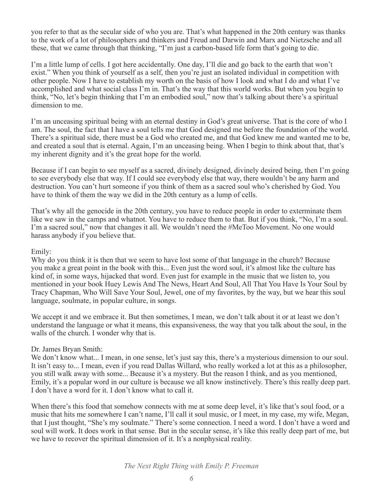you refer to that as the secular side of who you are. That's what happened in the 20th century was thanks to the work of a lot of philosophers and thinkers and Freud and Darwin and Marx and Nietzsche and all these, that we came through that thinking, "I'm just a carbon-based life form that's going to die.

I'm a little lump of cells. I got here accidentally. One day, I'll die and go back to the earth that won't exist." When you think of yourself as a self, then you're just an isolated individual in competition with other people. Now I have to establish my worth on the basis of how I look and what I do and what I've accomplished and what social class I'm in. That's the way that this world works. But when you begin to think, "No, let's begin thinking that I'm an embodied soul," now that's talking about there's a spiritual dimension to me.

I'm an unceasing spiritual being with an eternal destiny in God's great universe. That is the core of who I am. The soul, the fact that I have a soul tells me that God designed me before the foundation of the world. There's a spiritual side, there must be a God who created me, and that God knew me and wanted me to be, and created a soul that is eternal. Again, I'm an unceasing being. When I begin to think about that, that's my inherent dignity and it's the great hope for the world.

Because if I can begin to see myself as a sacred, divinely designed, divinely desired being, then I'm going to see everybody else that way. If I could see everybody else that way, there wouldn't be any harm and destruction. You can't hurt someone if you think of them as a sacred soul who's cherished by God. You have to think of them the way we did in the 20th century as a lump of cells.

That's why all the genocide in the 20th century, you have to reduce people in order to exterminate them like we saw in the camps and whatnot. You have to reduce them to that. But if you think, "No, I'm a soul. I'm a sacred soul," now that changes it all. We wouldn't need the #MeToo Movement. No one would harass anybody if you believe that.

### Emily:

Why do you think it is then that we seem to have lost some of that language in the church? Because you make a great point in the book with this... Even just the word soul, it's almost like the culture has kind of, in some ways, hijacked that word. Even just for example in the music that we listen to, you mentioned in your book Huey Lewis And The News, Heart And Soul, All That You Have Is Your Soul by Tracy Chapman, Who Will Save Your Soul, Jewel, one of my favorites, by the way, but we hear this soul language, soulmate, in popular culture, in songs.

We accept it and we embrace it. But then sometimes, I mean, we don't talk about it or at least we don't understand the language or what it means, this expansiveness, the way that you talk about the soul, in the walls of the church. I wonder why that is.

### Dr. James Bryan Smith:

We don't know what... I mean, in one sense, let's just say this, there's a mysterious dimension to our soul. It isn't easy to... I mean, even if you read Dallas Willard, who really worked a lot at this as a philosopher, you still walk away with some... Because it's a mystery. But the reason I think, and as you mentioned, Emily, it's a popular word in our culture is because we all know instinctively. There's this really deep part. I don't have a word for it. I don't know what to call it.

When there's this food that somehow connects with me at some deep level, it's like that's soul food, or a music that hits me somewhere I can't name, I'll call it soul music, or I meet, in my case, my wife, Megan, that I just thought, "She's my soulmate." There's some connection. I need a word. I don't have a word and soul will work. It does work in that sense. But in the secular sense, it's like this really deep part of me, but we have to recover the spiritual dimension of it. It's a nonphysical reality.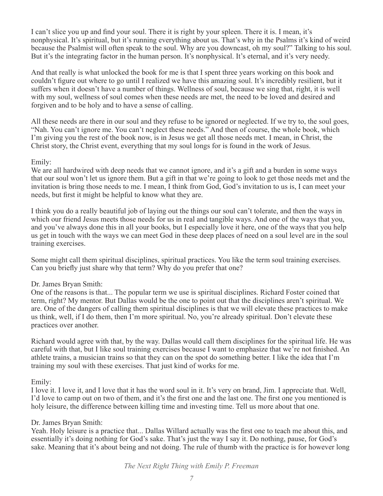I can't slice you up and find your soul. There it is right by your spleen. There it is. I mean, it's nonphysical. It's spiritual, but it's running everything about us. That's why in the Psalms it's kind of weird because the Psalmist will often speak to the soul. Why are you downcast, oh my soul?" Talking to his soul. But it's the integrating factor in the human person. It's nonphysical. It's eternal, and it's very needy.

And that really is what unlocked the book for me is that I spent three years working on this book and couldn't figure out where to go until I realized we have this amazing soul. It's incredibly resilient, but it suffers when it doesn't have a number of things. Wellness of soul, because we sing that, right, it is well with my soul, wellness of soul comes when these needs are met, the need to be loved and desired and forgiven and to be holy and to have a sense of calling.

All these needs are there in our soul and they refuse to be ignored or neglected. If we try to, the soul goes, "Nah. You can't ignore me. You can't neglect these needs." And then of course, the whole book, which I'm giving you the rest of the book now, is in Jesus we get all those needs met. I mean, in Christ, the Christ story, the Christ event, everything that my soul longs for is found in the work of Jesus.

### Emily:

We are all hardwired with deep needs that we cannot ignore, and it's a gift and a burden in some ways that our soul won't let us ignore them. But a gift in that we're going to look to get those needs met and the invitation is bring those needs to me. I mean, I think from God, God's invitation to us is, I can meet your needs, but first it might be helpful to know what they are.

I think you do a really beautiful job of laying out the things our soul can't tolerate, and then the ways in which our friend Jesus meets those needs for us in real and tangible ways. And one of the ways that you, and you've always done this in all your books, but I especially love it here, one of the ways that you help us get in touch with the ways we can meet God in these deep places of need on a soul level are in the soul training exercises.

Some might call them spiritual disciplines, spiritual practices. You like the term soul training exercises. Can you briefly just share why that term? Why do you prefer that one?

### Dr. James Bryan Smith:

One of the reasons is that... The popular term we use is spiritual disciplines. Richard Foster coined that term, right? My mentor. But Dallas would be the one to point out that the disciplines aren't spiritual. We are. One of the dangers of calling them spiritual disciplines is that we will elevate these practices to make us think, well, if I do them, then I'm more spiritual. No, you're already spiritual. Don't elevate these practices over another.

Richard would agree with that, by the way. Dallas would call them disciplines for the spiritual life. He was careful with that, but I like soul training exercises because I want to emphasize that we're not finished. An athlete trains, a musician trains so that they can on the spot do something better. I like the idea that I'm training my soul with these exercises. That just kind of works for me.

### Emily:

I love it. I love it, and I love that it has the word soul in it. It's very on brand, Jim. I appreciate that. Well, I'd love to camp out on two of them, and it's the first one and the last one. The first one you mentioned is holy leisure, the difference between killing time and investing time. Tell us more about that one.

### Dr. James Bryan Smith:

Yeah. Holy leisure is a practice that... Dallas Willard actually was the first one to teach me about this, and essentially it's doing nothing for God's sake. That's just the way I say it. Do nothing, pause, for God's sake. Meaning that it's about being and not doing. The rule of thumb with the practice is for however long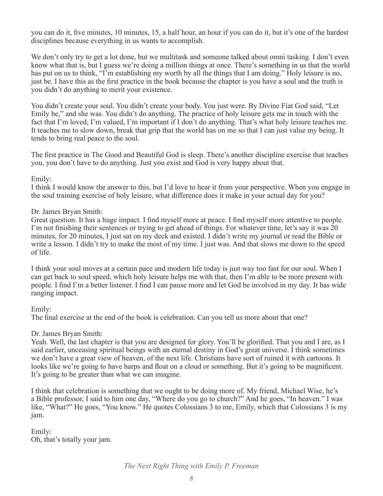you can do it, five minutes, 10 minutes, 15, a half hour, an hour if you can do it, but it's one of the hardest disciplines because everything in us wants to accomplish.

We don't only try to get a lot done, but we multitask and someone talked about omni tasking. I don't even know what that is, but I guess we're doing a million things at once. There's something in us that the world has put on us to think, "I'm establishing my worth by all the things that I am doing." Holy leisure is no, just be. I have this as the first practice in the book because the chapter is you have a soul and the truth is you didn't do anything to merit your existence.

You didn't create your soul. You didn't create your body. You just were. By Divine Fiat God said, "Let Emily be," and she was. You didn't do anything. The practice of holy leisure gets me in touch with the fact that I'm loved, I'm valued, I'm important if I don't do anything. That's what holy leisure teaches me. It teaches me to slow down, break that grip that the world has on me so that I can just value my being. It tends to bring real peace to the soul.

The first practice in The Good and Beautiful God is sleep. There's another discipline exercise that teaches you, you don't have to do anything. Just you exist and God is very happy about that.

### Emily:

I think I would know the answer to this, but I'd love to hear it from your perspective. When you engage in the soul training exercise of holy leisure, what difference does it make in your actual day for you?

### Dr. James Bryan Smith:

Great question. It has a huge impact. I find myself more at peace. I find myself more attentive to people. I'm not finishing their sentences or trying to get ahead of things. For whatever time, let's say it was 20 minutes, for 20 minutes, I just sat on my deck and existed. I didn't write my journal or read the Bible or write a lesson. I didn't try to make the most of my time. I just was. And that slows me down to the speed of life.

I think your soul moves at a certain pace and modern life today is just way too fast for our soul. When I can get back to soul speed, which holy leisure helps me with that, then I'm able to be more present with people. I find I'm a better listener. I find I can pause more and let God be involved in my day. It has wide ranging impact.

### Emily:

The final exercise at the end of the book is celebration. Can you tell us more about that one?

### Dr. James Bryan Smith:

Yeah. Well, the last chapter is that you are designed for glory. You'll be glorified. That you and I are, as I said earlier, unceasing spiritual beings with an eternal destiny in God's great universe. I think sometimes we don't have a great view of heaven, of the next life. Christians have sort of ruined it with cartoons. It looks like we're going to have harps and float on a cloud or something. But it's going to be magnificent. It's going to be greater than what we can imagine.

I think that celebration is something that we ought to be doing more of. My friend, Michael Wise, he's a Bible professor, I said to him one day, "Where do you go to church?" And he goes, "In heaven." I was like, "What?" He goes, "You know." He quotes Colossians 3 to me, Emily, which that Colossians 3 is my jam.

Emily: Oh, that's totally your jam.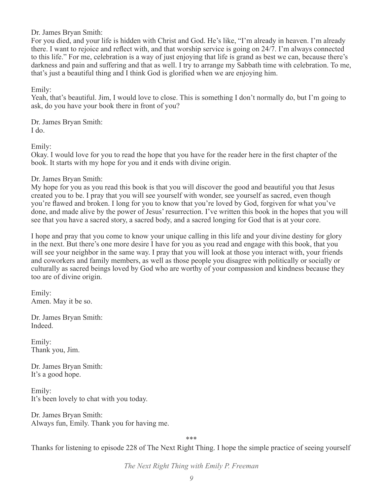Dr. James Bryan Smith:

For you died, and your life is hidden with Christ and God. He's like, "I'm already in heaven. I'm already there. I want to rejoice and reflect with, and that worship service is going on 24/7. I'm always connected to this life." For me, celebration is a way of just enjoying that life is grand as best we can, because there's darkness and pain and suffering and that as well. I try to arrange my Sabbath time with celebration. To me, that's just a beautiful thing and I think God is glorified when we are enjoying him.

Emily:

Yeah, that's beautiful. Jim, I would love to close. This is something I don't normally do, but I'm going to ask, do you have your book there in front of you?

Dr. James Bryan Smith: I do.

Emily:

Okay. I would love for you to read the hope that you have for the reader here in the first chapter of the book. It starts with my hope for you and it ends with divine origin.

Dr. James Bryan Smith:

My hope for you as you read this book is that you will discover the good and beautiful you that Jesus created you to be. I pray that you will see yourself with wonder, see yourself as sacred, even though you're flawed and broken. I long for you to know that you're loved by God, forgiven for what you've done, and made alive by the power of Jesus' resurrection. I've written this book in the hopes that you will see that you have a sacred story, a sacred body, and a sacred longing for God that is at your core.

I hope and pray that you come to know your unique calling in this life and your divine destiny for glory in the next. But there's one more desire I have for you as you read and engage with this book, that you will see your neighbor in the same way. I pray that you will look at those you interact with, your friends and coworkers and family members, as well as those people you disagree with politically or socially or culturally as sacred beings loved by God who are worthy of your compassion and kindness because they too are of divine origin.

Emily: Amen. May it be so.

Dr. James Bryan Smith: Indeed.

Emily: Thank you, Jim.

Dr. James Bryan Smith: It's a good hope.

Emily: It's been lovely to chat with you today.

Dr. James Bryan Smith: Always fun, Emily. Thank you for having me.

\*\*\*

Thanks for listening to episode 228 of The Next Right Thing. I hope the simple practice of seeing yourself